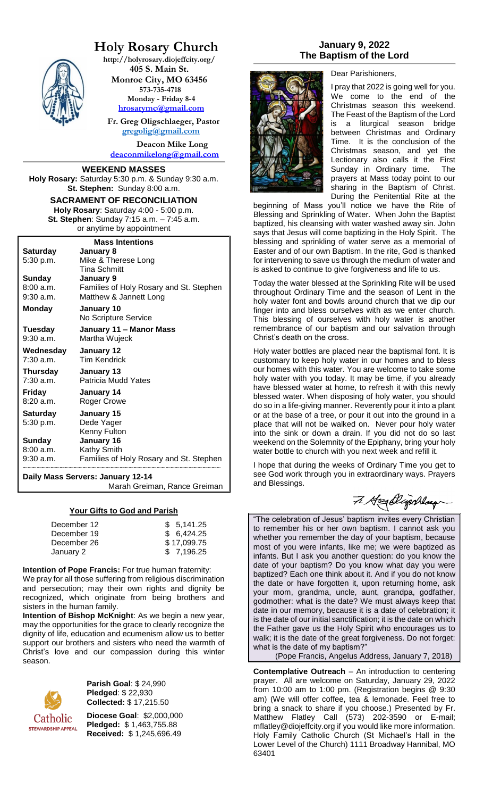## **Holy Rosary Church**

**http://holyrosary.diojeffcity.org/ 405 S. Main St. Monroe City, MO 63456 573-735-4718 Monday - Friday 8-4 [hrosarymc@gmail.com](mailto:hrosarymc@gmail.com)**

 **Fr. Greg Oligschlaeger, Pastor [gregolig@gmail.com](mailto:gregolig@gmail.com)**

**Deacon Mike Long [deaconmikelong@gmail.com](mailto:deaconmikelong@gmail.com)**

#### **WEEKEND MASSES**

**Holy Rosary:** Saturday 5:30 p.m. & Sunday 9:30 a.m. **St. Stephen:** Sunday 8:00 a.m.

#### **SACRAMENT OF RECONCILIATION Holy Rosary**: Saturday 4:00 - 5:00 p.m. **St. Stephen**: Sunday 7:15 a.m. – 7:45 a.m. or anytime by appointment

| <b>Mass Intentions</b> |                                         |  |  |
|------------------------|-----------------------------------------|--|--|
| Saturday               | January 8                               |  |  |
| 5:30 p.m.              | Mike & Therese Long                     |  |  |
|                        | <b>Tina Schmitt</b>                     |  |  |
| <b>Sunday</b>          | January 9                               |  |  |
| 8:00 a.m.              | Families of Holy Rosary and St. Stephen |  |  |
| $9:30$ a.m.            | Matthew & Jannett Long                  |  |  |
| Monday                 | January 10                              |  |  |
|                        | No Scripture Service                    |  |  |
| Tuesday                | January 11 - Manor Mass                 |  |  |
| 9:30 a.m.              | Martha Wujeck                           |  |  |
| Wednesday              | January 12                              |  |  |
| $7:30$ a.m.            | <b>Tim Kendrick</b>                     |  |  |
| Thursday               | January 13                              |  |  |
| 7:30 a.m.              | Patricia Mudd Yates                     |  |  |
| Friday                 | January 14                              |  |  |
| 8:20a.m.               | Roger Crowe                             |  |  |
| Saturday               | January 15                              |  |  |
| 5:30 p.m.              | Dede Yager                              |  |  |
|                        | Kenny Fulton                            |  |  |
| Sunday                 | January 16                              |  |  |
| 8:00 a.m.              | Kathy Smith                             |  |  |
| 9:30 a.m.              | Families of Holy Rosary and St. Stephen |  |  |
|                        |                                         |  |  |

**Daily Mass Servers: January 12-14**

Marah Greiman, Rance Greiman

#### **Your Gifts to God and Parish**

| December 12 | \$5.141.25  |
|-------------|-------------|
| December 19 | \$6.424.25  |
| December 26 | \$17,099.75 |
| January 2   | \$7,196.25  |

**Intention of Pope Francis:** For true human fraternity: We pray for all those suffering from religious discrimination and persecution; may their own rights and dignity be recognized, which originate from being brothers and sisters in the human family.

**Intention of Bishop McKnight**: As we begin a new year, may the opportunities for the grace to clearly recognize the dignity of life, education and ecumenism allow us to better support our brothers and sisters who need the warmth of Christ's love and our compassion during this winter season.



**Parish Goal**: \$ 24,990 **Pledged**: \$ 22,930 **Collected:** \$ 17,215.50

**Diocese Goal**: \$2,000,000 **Pledged:** \$ 1,463,755.88 **Received:** \$ 1,245,696.49

#### **January 9, 2022 The Baptism of the Lord**



Dear Parishioners,

I pray that 2022 is going well for you. We come to the end of the Christmas season this weekend. The Feast of the Baptism of the Lord is a liturgical season bridge between Christmas and Ordinary Time. It is the conclusion of the Christmas season, and yet the Lectionary also calls it the First Sunday in Ordinary time. The prayers at Mass today point to our sharing in the Baptism of Christ. During the Penitential Rite at the

beginning of Mass you'll notice we have the Rite of Blessing and Sprinkling of Water. When John the Baptist baptized, his cleansing with water washed away sin. John says that Jesus will come baptizing in the Holy Spirit. The blessing and sprinkling of water serve as a memorial of Easter and of our own Baptism. In the rite, God is thanked for intervening to save us through the medium of water and is asked to continue to give forgiveness and life to us.

Today the water blessed at the Sprinkling Rite will be used throughout Ordinary Time and the season of Lent in the holy water font and bowls around church that we dip our finger into and bless ourselves with as we enter church. This blessing of ourselves with holy water is another remembrance of our baptism and our salvation through Christ's death on the cross.

Holy water bottles are placed near the baptismal font. It is customary to keep holy water in our homes and to bless our homes with this water. You are welcome to take some holy water with you today. It may be time, if you already have blessed water at home, to refresh it with this newly blessed water. When disposing of holy water, you should do so in a life-giving manner. Reverently pour it into a plant or at the base of a tree, or pour it out into the ground in a place that will not be walked on. Never pour holy water into the sink or down a drain. If you did not do so last weekend on the Solemnity of the Epiphany, bring your holy water bottle to church with you next week and refill it.

I hope that during the weeks of Ordinary Time you get to see God work through you in extraordinary ways. Prayers and Blessings.

7. Heallyschlag

"The celebration of Jesus' baptism invites every Christian to remember his or her own baptism. I cannot ask you whether you remember the day of your baptism, because most of you were infants, like me; we were baptized as infants. But I ask you another question: do you know the date of your baptism? Do you know what day you were baptized? Each one think about it. And if you do not know the date or have forgotten it, upon returning home, ask your mom, grandma, uncle, aunt, grandpa, godfather, godmother: what is the date? We must always keep that date in our memory, because it is a date of celebration; it is the date of our initial sanctification; it is the date on which the Father gave us the Holy Spirit who encourages us to walk; it is the date of the great forgiveness. Do not forget: what is the date of my baptism?"

(Pope Francis, Angelus Address, January 7, 2018)

**Contemplative Outreach** – An introduction to centering prayer. All are welcome on Saturday, January 29, 2022 from 10:00 am to 1:00 pm. (Registration begins @ 9:30 am) (We will offer coffee, tea & lemonade. Feel free to bring a snack to share if you choose.) Presented by Fr. Matthew Flatley Call (573) 202-3590 or E-mail; mflatley@diojeffcity.org if you would like more information. Holy Family Catholic Church (St Michael's Hall in the Lower Level of the Church) 1111 Broadway Hannibal, MO 63401